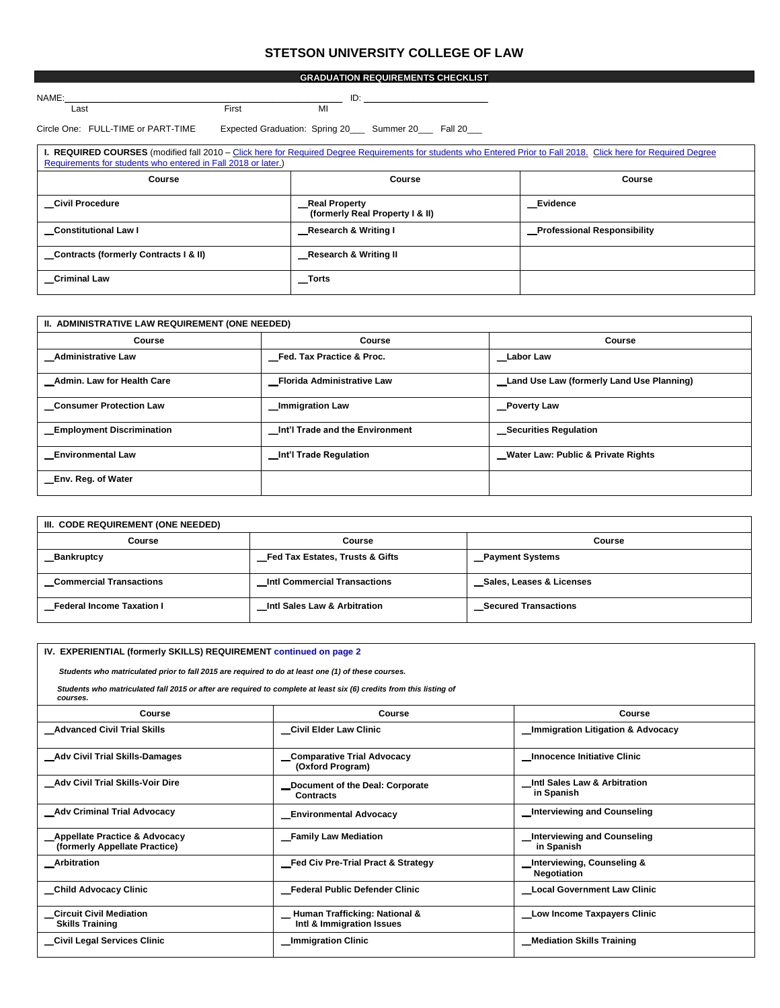# **STETSON UNIVERSITY COLLEGE OF LAW**

| <b>NAME</b> |                             |    | ໋ |
|-------------|-----------------------------|----|---|
| oct<br>---- | $T_{\rm irct}$<br>וכוו<br>. | MI |   |

Circle One: FULL-TIME or PART-TIME Expected Graduation: Spring 20\_\_\_ Summer 20\_\_\_ Fall 20\_\_\_

| <b>I. REQUIRED COURSES</b> (modified fall 2010 – Click here for Required Degree Requirements for students who Entered Prior to Fall 2018. Click here for Required Degree<br>Requirements for students who entered in Fall 2018 or later.) |                                                   |                                    |  |
|-------------------------------------------------------------------------------------------------------------------------------------------------------------------------------------------------------------------------------------------|---------------------------------------------------|------------------------------------|--|
| Course                                                                                                                                                                                                                                    | Course                                            | Course                             |  |
| Civil Procedure                                                                                                                                                                                                                           | _Real Property<br>(formerly Real Property I & II) | Evidence                           |  |
| <b>Constitutional Law I</b>                                                                                                                                                                                                               | Research & Writing I                              | <b>Professional Responsibility</b> |  |
| Contracts (formerly Contracts I & II)                                                                                                                                                                                                     | Research & Writing II                             |                                    |  |
| <b>Criminal Law</b>                                                                                                                                                                                                                       | $\_Torts$                                         |                                    |  |

| II. ADMINISTRATIVE LAW REQUIREMENT (ONE NEEDED) |                                 |                                           |  |
|-------------------------------------------------|---------------------------------|-------------------------------------------|--|
| Course                                          | Course                          | Course                                    |  |
| Administrative Law                              | Fed. Tax Practice & Proc.       | <b>Labor Law</b>                          |  |
| Admin. Law for Health Care                      | Florida Administrative Law      | Land Use Law (formerly Land Use Planning) |  |
| <b>Consumer Protection Law</b>                  | _Immigration Law                | Poverty Law                               |  |
| <b>Employment Discrimination</b>                | Int'l Trade and the Environment | <b>Securities Regulation</b>              |  |
| <b>Environmental Law</b>                        | Int'l Trade Regulation          | Water Law: Public & Private Rights        |  |
| _Env. Reg. of Water                             |                                 |                                           |  |

| III. CODE REQUIREMENT (ONE NEEDED) |                                     |                             |  |
|------------------------------------|-------------------------------------|-----------------------------|--|
| Course                             | Course                              | Course                      |  |
| <b>Bankruptcy</b>                  | Fed Tax Estates, Trusts & Gifts     | _Payment Systems            |  |
| <b>Commercial Transactions</b>     | <b>Intl Commercial Transactions</b> | Sales, Leases & Licenses    |  |
| <b>Federal Income Taxation I</b>   | Intl Sales Law & Arbitration        | <b>Secured Transactions</b> |  |

| IV. EXPERIENTIAL (formerly SKILLS) REQUIREMENT continued on page 2                                                              |                                                            |                                                             |  |
|---------------------------------------------------------------------------------------------------------------------------------|------------------------------------------------------------|-------------------------------------------------------------|--|
| Students who matriculated prior to fall 2015 are required to do at least one (1) of these courses.                              |                                                            |                                                             |  |
| Students who matriculated fall 2015 or after are required to complete at least six (6) credits from this listing of<br>courses. |                                                            |                                                             |  |
| Course                                                                                                                          | Course                                                     | Course                                                      |  |
| <b>Advanced Civil Trial Skills</b>                                                                                              | Civil Elder Law Clinic                                     | <b>Immigration Litigation &amp; Advocacy</b>                |  |
| _Adv Civil Trial Skills-Damages                                                                                                 | _Comparative Trial Advocacy<br>(Oxford Program)            | _Innocence Initiative Clinic                                |  |
| Adv Civil Trial Skills-Voir Dire                                                                                                | Document of the Deal: Corporate<br>Contracts               | Intl Sales Law & Arbitration<br>in Spanish                  |  |
| Adv Criminal Trial Advocacy                                                                                                     | <b>Environmental Advocacy</b>                              | Interviewing and Counseling                                 |  |
| _Appellate Practice & Advocacy<br>(formerly Appellate Practice)                                                                 | _Family Law Mediation                                      | <b>Interviewing and Counseling</b><br>in Spanish            |  |
| Arbitration                                                                                                                     | Fed Civ Pre-Trial Pract & Strategy                         | <b>Interviewing, Counseling &amp;</b><br><b>Negotiation</b> |  |
| Child Advocacy Clinic                                                                                                           | Federal Public Defender Clinic                             | <b>Local Government Law Clinic</b>                          |  |
| <b>Circuit Civil Mediation</b><br><b>Skills Training</b>                                                                        | Human Trafficking: National &<br>Intl & Immigration Issues | Low Income Taxpayers Clinic                                 |  |
| Civil Legal Services Clinic                                                                                                     | _Immigration Clinic                                        | <b>Mediation Skills Training</b>                            |  |